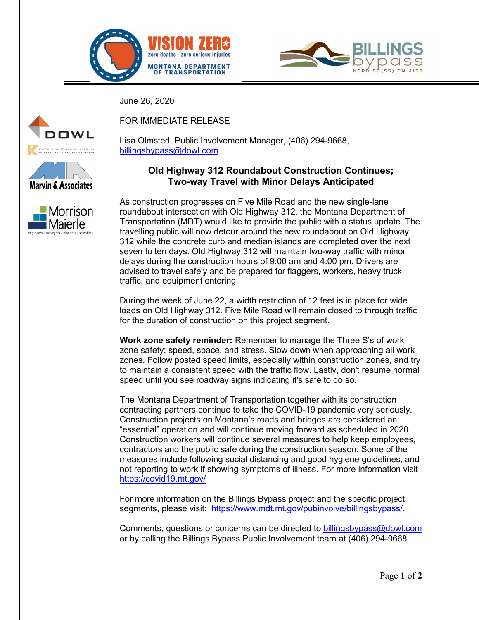



June 26, 2020







FOR IMMEDIATE RELEASE

Lisa Olmsted, Public Involvement Manager, (406) 294-9668, [billingsbypass@dowl.com](file://BIL-FS/BIL-projects/24/20946-01/50Design/0101/01.%20Public%20Announcements%20(Draft%20and%20Final)/Press%20Releases/billingsbypass@dowl.com)

## **Old Highway 312 Roundabout Construction Continues; Two-way Travel with Minor Delays Anticipated**

As construction progresses on Five Mile Road and the new single-lane roundabout intersection with Old Highway 312, the Montana Department of Transportation (MDT) would like to provide the public with a status update. The travelling public will now detour around the new roundabout on Old Highway 312 while the concrete curb and median islands are completed over the next seven to ten days. Old Highway 312 will maintain two-way traffic with minor delays during the construction hours of 9:00 am and 4:00 pm. Drivers are advised to travel safely and be prepared for flaggers, workers, heavy truck traffic, and equipment entering.

During the week of June 22, a width restriction of 12 feet is in place for wide loads on Old Highway 312. Five Mile Road will remain closed to through traffic for the duration of construction on this project segment.

**Work zone safety reminder:** Remember to manage the Three S's of work zone safety: speed, space, and stress. Slow down when approaching all work zones. Follow posted speed limits, especially within construction zones, and try to maintain a consistent speed with the traffic flow. Lastly, don't resume normal speed until you see roadway signs indicating it's safe to do so.

The Montana Department of Transportation together with its construction contracting partners continue to take the COVID-19 pandemic very seriously. Construction projects on Montana's roads and bridges are considered an "essential" operation and will continue moving forward as scheduled in 2020. Construction workers will continue several measures to help keep employees, contractors and the public safe during the construction season. Some of the measures include following social distancing and good hygiene guidelines, and not reporting to work if showing symptoms of illness. For more information visit <https://covid19.mt.gov/>

For more information on the Billings Bypass project and the specific project segments, please visit: [https://www.mdt.mt.gov/pubinvolve/billingsbypass/.](https://www.mdt.mt.gov/pubinvolve/billingsbypass/)

Comments, questions or concerns can be directed to [billingsbypass@dowl.com](file://BIL-FS/BIL-projects/24/20946-01/50Design/0101/01.%20Public%20Announcements%20(Draft%20and%20Final)/Press%20Releases/billingsbypass@dowl.com) or by calling the Billings Bypass Public Involvement team at (406) 294-9668.